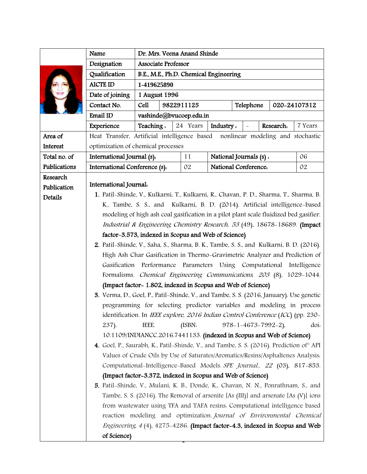|              | Name                                                                                                                                                                                                                                              | Dr. Mrs. Veena Anand Shinde                                                       |                         |          |                            |                        |                                |              |         |  |
|--------------|---------------------------------------------------------------------------------------------------------------------------------------------------------------------------------------------------------------------------------------------------|-----------------------------------------------------------------------------------|-------------------------|----------|----------------------------|------------------------|--------------------------------|--------------|---------|--|
|              | Designation                                                                                                                                                                                                                                       | <b>Associate Professor</b>                                                        |                         |          |                            |                        |                                |              |         |  |
|              | Qualification                                                                                                                                                                                                                                     | B.E., M.E., Ph.D. Chemical Engineering                                            |                         |          |                            |                        |                                |              |         |  |
|              | <b>AICTE ID</b>                                                                                                                                                                                                                                   | 1-419625890                                                                       |                         |          |                            |                        |                                |              |         |  |
|              | Date of joining                                                                                                                                                                                                                                   | 1 August 1996                                                                     |                         |          |                            |                        |                                |              |         |  |
|              | Contact No.                                                                                                                                                                                                                                       | Cell                                                                              | 9822911125<br>Telephone |          |                            |                        |                                | 020-24107312 |         |  |
|              | Email ID                                                                                                                                                                                                                                          | vashinde@bvucoep.edu.in                                                           |                         |          |                            |                        |                                |              |         |  |
|              | Experience                                                                                                                                                                                                                                        | Teaching.                                                                         |                         | 24 Years | Industry.                  |                        |                                | Research.    | 7 Years |  |
| Area of      |                                                                                                                                                                                                                                                   | Heat Transfer, Artificial intelligence based<br>nonlinear modeling and stochastic |                         |          |                            |                        |                                |              |         |  |
| Interest     | optimization of chemical processes                                                                                                                                                                                                                |                                                                                   |                         |          |                            |                        |                                |              |         |  |
| Total no. of | International Journal (s).                                                                                                                                                                                                                        |                                                                                   | 11                      |          |                            | National Journals (s). |                                |              | 06      |  |
| Publications | International Conference (s).                                                                                                                                                                                                                     |                                                                                   |                         | 02       | National Conference.<br>02 |                        |                                |              |         |  |
| Research     |                                                                                                                                                                                                                                                   |                                                                                   |                         |          |                            |                        |                                |              |         |  |
| Publication  | International Journal.                                                                                                                                                                                                                            |                                                                                   |                         |          |                            |                        |                                |              |         |  |
| Details      | 1. Patil-Shinde, V., Kulkarni, T., Kulkarni, R., Chavan, P. D., Sharma, T., Sharma, B.                                                                                                                                                            |                                                                                   |                         |          |                            |                        |                                |              |         |  |
|              | K., Tambe, S. S., and Kulkarni, B. D. (2014). Artificial intelligence-based                                                                                                                                                                       |                                                                                   |                         |          |                            |                        |                                |              |         |  |
|              | modeling of high ash coal gasification in a pilot plant scale fluidized bed gasifier.                                                                                                                                                             |                                                                                   |                         |          |                            |                        |                                |              |         |  |
|              |                                                                                                                                                                                                                                                   | Industrial & Engineering Chemistry Research, 53 (49), 18678-18689. (Impact        |                         |          |                            |                        |                                |              |         |  |
|              |                                                                                                                                                                                                                                                   | factor-3.573, indexed in Scopus and Web of Science)                               |                         |          |                            |                        |                                |              |         |  |
|              | 2. Patil-Shinde, V., Saha, S., Sharma, B. K., Tambe, S. S., and Kulkarni, B. D. (2016).<br>High Ash Char Gasification in Thermo-Gravimetric Analyzer and Prediction of<br>Gasification Performance Parameters Using Computational<br>Intelligence |                                                                                   |                         |          |                            |                        |                                |              |         |  |
|              |                                                                                                                                                                                                                                                   |                                                                                   |                         |          |                            |                        |                                |              |         |  |
|              |                                                                                                                                                                                                                                                   |                                                                                   |                         |          |                            |                        |                                |              |         |  |
|              | Formalisms. Chemical Engineering Communications, 203 (8), 1029-1044.<br>(Impact factor-1.802, indexed in Scopus and Web of Science)<br>3. Verma, D., Goel, P., Patil-Shinde, V., and Tambe, S. S. (2016, January). Use genetic                    |                                                                                   |                         |          |                            |                        |                                |              |         |  |
|              |                                                                                                                                                                                                                                                   |                                                                                   |                         |          |                            |                        |                                |              |         |  |
|              |                                                                                                                                                                                                                                                   |                                                                                   |                         |          |                            |                        |                                |              |         |  |
|              |                                                                                                                                                                                                                                                   | programming for selecting predictor variables and modeling in process             |                         |          |                            |                        |                                |              |         |  |
|              | identification. In IEEE explore, 2016 Indian Control Conference (ICC) (pp. 230-                                                                                                                                                                   |                                                                                   |                         |          |                            |                        |                                |              |         |  |
|              | 237).                                                                                                                                                                                                                                             | IEEE.                                                                             |                         | (ISBN.   |                            |                        | $978 - 1 - 4673 - 7992 - 2$ ), |              | doi:    |  |
|              | 10.1109/INDIANCC.2016.7441133. (indexed in Scopus and Web of Science)                                                                                                                                                                             |                                                                                   |                         |          |                            |                        |                                |              |         |  |
|              | 4. Goel, P., Saurabh, K., Patil-Shinde, V., and Tambe, S. S. (2016). Prediction of API                                                                                                                                                            |                                                                                   |                         |          |                            |                        |                                |              |         |  |
|              | Values of Crude Oils by Use of Saturates/Aromatics/Resins/Asphaltenes Analysis.                                                                                                                                                                   |                                                                                   |                         |          |                            |                        |                                |              |         |  |
|              | Computational-Intelligence-Based Models. SPE Journal., 22 (03), 817-853.                                                                                                                                                                          |                                                                                   |                         |          |                            |                        |                                |              |         |  |
|              | (Impact factor-3.372, indexed in Scopus and Web of Science)                                                                                                                                                                                       |                                                                                   |                         |          |                            |                        |                                |              |         |  |
|              | 5. Patil-Shinde, V., Mulani, K. B., Donde, K., Chavan, N. N., Ponrathnam, S., and                                                                                                                                                                 |                                                                                   |                         |          |                            |                        |                                |              |         |  |
|              | Tambe, S. S. (2016). The Removal of arsenite [As (III)] and arsenate [As (V)] ions                                                                                                                                                                |                                                                                   |                         |          |                            |                        |                                |              |         |  |
|              | from wastewater using TFA and TAFA resins. Computational intelligence based                                                                                                                                                                       |                                                                                   |                         |          |                            |                        |                                |              |         |  |
|              | reaction modeling and optimization. Journal of Environmental Chemical                                                                                                                                                                             |                                                                                   |                         |          |                            |                        |                                |              |         |  |
|              | <i>Engineering, 4</i> (4), 4275-4286. (Impact factor-4.3, indexed in Scopus and Web                                                                                                                                                               |                                                                                   |                         |          |                            |                        |                                |              |         |  |
|              | of Science)                                                                                                                                                                                                                                       |                                                                                   |                         |          |                            |                        |                                |              |         |  |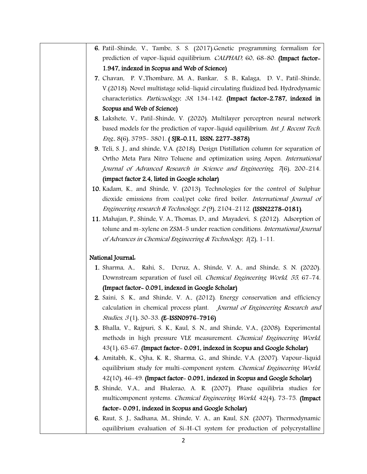- 6. Patil-Shinde, V., Tambe, S. S. (2017).Genetic programming formalism for prediction of vapor-liquid equilibrium. CALPHAD, 60, 68-80. (Impact factor-1.947, indexed in Scopus and Web of Science)
- 7. [Chavan,](https://www.sciencedirect.com/science/article/pii/S1674200117301761#!) P. V[.,Thombare,](https://www.sciencedirect.com/science/article/pii/S1674200117301761#!) M. A., [Bankar, S. B.,](https://www.sciencedirect.com/science/article/pii/S1674200117301761#!) [Kalaga, D. V.,](https://www.sciencedirect.com/science/article/pii/S1674200117301761#!) [Patil-Shinde,](https://www.sciencedirect.com/science/article/pii/S1674200117301761#!)  [V.\(](https://www.sciencedirect.com/science/article/pii/S1674200117301761#!)2018). Novel multistage solid–liquid circulating fluidized bed: Hydrodynamic characteristics. Particuology, <sup>38</sup>, 134-142. (Impact factor-2.787, indexed in Scopus and Web of Science)
- 8. Lakshete, V., Patil-Shinde, V. (2020). Multilayer perceptron neural network based models for the prediction of vapor-liquid equilibrium. Int. J. Recent Tech. Eng., 8(6), 3795- 3801. ( SJR-0.11, ISSN: 2277-3878)
- 9. Teli, S. J., and shinde, V.A. (2018). Design Distillation column for separation of Ortho Meta Para Nitro Toluene and optimization using Aspen. International Journal of Advanced Research in Science and Engineering, 7(6), 200-214. (impact factor 2.4, listed in Google scholar)
- 10. Kadam, K., and Shinde, V. (2013). Technologies for the control of Sulphur dioxide emissions from coal/pet coke fired boiler. International Journal of Engineering research & Technology, 2 (9), 2104-2112. (ISSN2278-0181).
- 11. Mahajan, P., Shinde, V. A., Thomas, D., and Mayadevi, S. (2012). Adsorption of tolune and m-xylene on ZSM-5 under reaction conditions. International Journal of Advances in Chemical Engineering & Technology, 1(2), 1-11.

## National Journal:

- 1. Sharma, A., Rahi, S., Dcruz, A., Shinde, V. A., and Shinde, S. N. (2020). Downstream separation of fusel oil. Chemical Engineering World, 55, 67-74. (Impact factor- 0.091, indexed in Google Scholar)
- 2. Saini, S. K., and Shinde, V. A., (2012). Energy conservation and efficiency calculation in chemical process plant. Journal of Engineering Research and Studies, <sup>3</sup> (1), 30-33. (E-ISSN0976-7916)
- 3. Bhalla, V., Rajpuri, S. K., Kaul, S. N., and Shinde, V.A., (2008). Experimental methods in high pressure VLE measurement. Chemical Engineering World, 43(1), 65-67. (Impact factor- 0.091, indexed in Scopus and Google Scholar)
- 4. Amitabh, K., Ojha, K. R., Sharma, G., and Shinde, V.A. (2007). [Vapour-liquid](http://scholar.google.com/scholar?cluster=14917248166086408543&hl=en&oi=scholarr)  [equilibrium study for multi-component system.](http://scholar.google.com/scholar?cluster=14917248166086408543&hl=en&oi=scholarr) Chemical Engineering World, 42(10), 46-49. (Impact factor- 0.091, indexed in Scopus and Google Scholar)
- 5. Shinde, V.A., and Bhalerao, A. R. (2007). [Phase equilibria studies for](http://scholar.google.com/scholar?cluster=299925088841055305&hl=en&oi=scholarr)  [multicomponent systems.](http://scholar.google.com/scholar?cluster=299925088841055305&hl=en&oi=scholarr) Chemical Engineering World, 42(4), 73-75. (Impact factor- 0.091, indexed in Scopus and Google Scholar)
- 6. Raut, S. J., Sadhana, M., Shinde, V. A., an Kaul, S.N. (2007). [Thermodynamic](http://scholar.google.com/scholar?cluster=12096969284863918517&hl=en&oi=scholarr)  [equilibrium evaluation of Si-H-Cl system for production of polycrystalline](http://scholar.google.com/scholar?cluster=12096969284863918517&hl=en&oi=scholarr)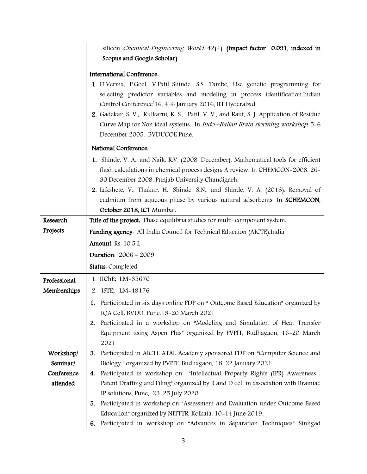|              | silicon Chemical Engineering World, 42(4). (Impact factor- 0.091, indexed in             |  |  |  |  |  |
|--------------|------------------------------------------------------------------------------------------|--|--|--|--|--|
|              | Scopus and Google Scholar)                                                               |  |  |  |  |  |
|              | <b>International Conference.</b>                                                         |  |  |  |  |  |
|              | 1. D.Verma, P.Goel, V.Patil-Shinde, S.S. Tambe, Use genetic programming for              |  |  |  |  |  |
|              | selecting predictor variables and modeling in process identification.Indian              |  |  |  |  |  |
|              | Control Conference'16, 4-6 January 2016, IIT Hyderabad.                                  |  |  |  |  |  |
|              | 2. Gadekar, S. V., Kulkarni, K. S., Patil, V. V., and Raut, S. J. Application of Residue |  |  |  |  |  |
|              | Curve Map for Non ideal systems. In <i>Indo -Italian Brain storming workshop</i> , 5-6   |  |  |  |  |  |
|              | December 2005, BVDUCOE Pune.                                                             |  |  |  |  |  |
|              | National Conference.                                                                     |  |  |  |  |  |
|              | 1. Shinde, V. A., and Naik, R.V. (2008, December). Mathematical tools for efficient      |  |  |  |  |  |
|              | flash calculations in chemical process design. A review. In CHEMCON-2008, 26-            |  |  |  |  |  |
|              | 30 December 2008, Punjab University Chandigarh.                                          |  |  |  |  |  |
|              | 2. Lakshete, V., Thakur, H., Shinde, S.N., and Shinde, V. A. (2018). Removal of          |  |  |  |  |  |
|              | cadmium from aqueous phase by various natural adsorbents. In SCHEMCON,                   |  |  |  |  |  |
|              | October 2018, ICT Mumbai.                                                                |  |  |  |  |  |
| Research     | Title of the project. Phase equilibria studies for multi-component system.               |  |  |  |  |  |
| Projects     | Funding agency. All India Council for Technical Educaion (AICTE), India                  |  |  |  |  |  |
|              | Amount. Rs. 10.5 L                                                                       |  |  |  |  |  |
|              | Duration: 2006 - 2009                                                                    |  |  |  |  |  |
|              | Status. Completed                                                                        |  |  |  |  |  |
| Professional | 1. IIChE; LM-35670                                                                       |  |  |  |  |  |
| Memberships  | 2. ISTE; LM-49176                                                                        |  |  |  |  |  |
|              | 1. Participated in six days online FDP on "Outcome Based Education" organized by         |  |  |  |  |  |
|              | IQA Cell, BVDU, Pune, 15-20 March 2021                                                   |  |  |  |  |  |
|              | Participated in a workshop on "Modeling and Simulation of Heat Transfer<br>2.            |  |  |  |  |  |
|              | Equipment using Aspen Plus" organized by PVPIT, Budhagaon, 16-20 March                   |  |  |  |  |  |
|              | 2021                                                                                     |  |  |  |  |  |
| Workshop/    | Participated in AICTE ATAL Academy sponsored FDP on "Computer Science and<br>3.          |  |  |  |  |  |
| Seminar/     | Biology " organized by PVPIT, Budhagaon, 18-22 January 2021                              |  |  |  |  |  |
| Conference   | 4. Participated in workshop on "Intellectual Property Rights (IPR) Awareness a           |  |  |  |  |  |
| attended     | Patent Drafting and Filing" organized by R and D cell in association with Brainiac       |  |  |  |  |  |
|              | IP solutions, Pune, 23-25 July 2020                                                      |  |  |  |  |  |
|              | Participated in workshop on "Assessment and Evaluation under Outcome Based<br>5.         |  |  |  |  |  |
|              | Education" organized by NITTTR, Kolkata, 10-14 June 2019.                                |  |  |  |  |  |
|              | 6. Participated in workshop on "Advances in Separation Techniques" Sinhgad               |  |  |  |  |  |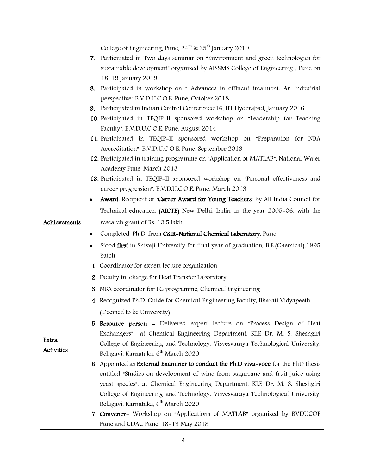|                            | College of Engineering, Pune, 24 <sup>th</sup> & 25 <sup>th</sup> January 2019.             |  |  |  |  |  |
|----------------------------|---------------------------------------------------------------------------------------------|--|--|--|--|--|
|                            | 7. Participated in Two days seminar on "Environment and green technologies for              |  |  |  |  |  |
|                            | sustainable development" organized by AISSMS College of Engineering, Pune on                |  |  |  |  |  |
|                            | 18-19 January 2019                                                                          |  |  |  |  |  |
|                            | Participated in workshop on "Advances in effluent treatment. An industrial<br>8.            |  |  |  |  |  |
|                            | perspective" B.V.D.U.C.O.E. Pune, October 2018                                              |  |  |  |  |  |
|                            | 9. Participated in Indian Control Conference'16, IIT Hyderabad, January 2016                |  |  |  |  |  |
|                            | 10. Participated in TEQIP-II sponsored workshop on "Leadership for Teaching                 |  |  |  |  |  |
|                            | Faculty", B.V.D.U.C.O.E. Pune, August 2014                                                  |  |  |  |  |  |
|                            | 11. Participated in TEQIP-II sponsored workshop on "Preparation for NBA                     |  |  |  |  |  |
|                            | Accreditation", B.V.D.U.C.O.E. Pune, September 2013                                         |  |  |  |  |  |
|                            | 12. Participated in training programme on "Application of MATLAB", National Water           |  |  |  |  |  |
|                            | Academy Pune, March 2013                                                                    |  |  |  |  |  |
|                            | 13. Participated in TEQIP-II sponsored workshop on "Personal effectiveness and              |  |  |  |  |  |
|                            | career progression", B.V.D.U.C.O.E. Pune, March 2013                                        |  |  |  |  |  |
|                            | Award. Recipient of 'Career Award for Young Teachers' by All India Council for<br>$\bullet$ |  |  |  |  |  |
|                            | Technical education (AICTE) New Delhi, India, in the year 2005-06, with the                 |  |  |  |  |  |
| Achievements               | research grant of Rs. 10.5 lakh.                                                            |  |  |  |  |  |
|                            | Completed Ph.D. from CSIR-National Chemical Laboratory, Pune                                |  |  |  |  |  |
|                            | Stood first in Shivaji University for final year of graduation, B.E. (Chemical), 1995       |  |  |  |  |  |
|                            | batch                                                                                       |  |  |  |  |  |
|                            | 1. Coordinator for expert lecture organization                                              |  |  |  |  |  |
|                            | 2. Faculty in-charge for Heat Transfer Laboratory.                                          |  |  |  |  |  |
| Extra<br><b>Activities</b> | 3. NBA coordinator for PG programme, Chemical Engineering                                   |  |  |  |  |  |
|                            | 4. Recognized Ph.D. Guide for Chemical Engineering Faculty, Bharati Vidyapeeth              |  |  |  |  |  |
|                            | (Deemed to be University)                                                                   |  |  |  |  |  |
|                            | 5. Resource person - Delivered expert lecture on "Process Design of Heat                    |  |  |  |  |  |
|                            | at Chemical Engineering Department, KLE Dr. M. S. Sheshgiri<br>Exchangers"                  |  |  |  |  |  |
|                            | College of Engineering and Technology, Visvesvaraya Technological University,               |  |  |  |  |  |
|                            | Belagavi, Karnataka, 6 <sup>th</sup> March 2020                                             |  |  |  |  |  |
|                            | 6. Appointed as External Examiner to conduct the Ph.D viva-voce for the PhD thesis          |  |  |  |  |  |
|                            | entitled "Studies on development of wine from sugarcane and fruit juice using               |  |  |  |  |  |
|                            | yeast species". at Chemical Engineering Department, KLE Dr. M. S. Sheshgiri                 |  |  |  |  |  |
|                            | College of Engineering and Technology, Visvesvaraya Technological University,               |  |  |  |  |  |
|                            | Belagavi, Karnataka, 6 <sup>th</sup> March 2020                                             |  |  |  |  |  |
|                            | 7. Convener- Workshop on "Applications of MATLAB" organized by BVDUCOE                      |  |  |  |  |  |
|                            | Pune and CDAC Pune, 18-19 May 2018                                                          |  |  |  |  |  |